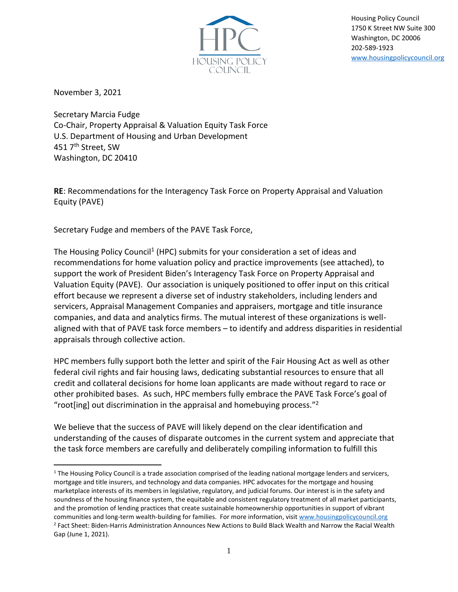

Housing Policy Council 1750 K Street NW Suite 300 Washington, DC 20006 202-589-1923 [www.housingpolicycouncil.org](http://www.housingpolicycouncil.org/)

November 3, 2021

Secretary Marcia Fudge Co-Chair, Property Appraisal & Valuation Equity Task Force U.S. Department of Housing and Urban Development 451 7th Street, SW Washington, DC 20410

**RE**: Recommendations for the Interagency Task Force on Property Appraisal and Valuation Equity (PAVE)

Secretary Fudge and members of the PAVE Task Force,

The Housing Policy Council<sup>1</sup> (HPC) submits for your consideration a set of ideas and recommendations for home valuation policy and practice improvements (see attached), to support the work of President Biden's Interagency Task Force on Property Appraisal and Valuation Equity (PAVE). Our association is uniquely positioned to offer input on this critical effort because we represent a diverse set of industry stakeholders, including lenders and servicers, Appraisal Management Companies and appraisers, mortgage and title insurance companies, and data and analytics firms. The mutual interest of these organizations is wellaligned with that of PAVE task force members – to identify and address disparities in residential appraisals through collective action.

HPC members fully support both the letter and spirit of the Fair Housing Act as well as other federal civil rights and fair housing laws, dedicating substantial resources to ensure that all credit and collateral decisions for home loan applicants are made without regard to race or other prohibited bases. As such, HPC members fully embrace the PAVE Task Force's goal of "root[ing] out discrimination in the appraisal and homebuying process."<sup>2</sup>

We believe that the success of PAVE will likely depend on the clear identification and understanding of the causes of disparate outcomes in the current system and appreciate that the task force members are carefully and deliberately compiling information to fulfill this

<sup>&</sup>lt;sup>1</sup> The Housing Policy Council is a trade association comprised of the leading national mortgage lenders and servicers, mortgage and title insurers, and technology and data companies. HPC advocates for the mortgage and housing marketplace interests of its members in legislative, regulatory, and judicial forums. Our interest is in the safety and soundness of the housing finance system, the equitable and consistent regulatory treatment of all market participants, and the promotion of lending practices that create sustainable homeownership opportunities in support of vibrant communities and long-term wealth-building for families. For more information, visit [www.housingpolicycouncil.org](http://www.housingpolicycouncil.org/) <sup>2</sup> Fact Sheet: Biden-Harris Administration Announces New Actions to Build Black Wealth and Narrow the Racial Wealth Gap (June 1, 2021).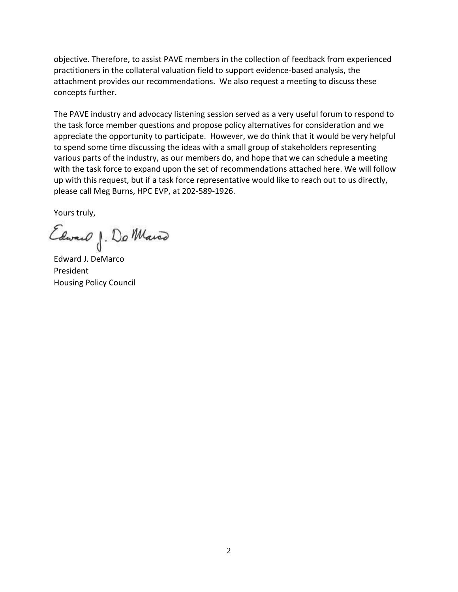objective. Therefore, to assist PAVE members in the collection of feedback from experienced practitioners in the collateral valuation field to support evidence-based analysis, the attachment provides our recommendations. We also request a meeting to discuss these concepts further.

The PAVE industry and advocacy listening session served as a very useful forum to respond to the task force member questions and propose policy alternatives for consideration and we appreciate the opportunity to participate. However, we do think that it would be very helpful to spend some time discussing the ideas with a small group of stakeholders representing various parts of the industry, as our members do, and hope that we can schedule a meeting with the task force to expand upon the set of recommendations attached here. We will follow up with this request, but if a task force representative would like to reach out to us directly, please call Meg Burns, HPC EVP, at 202-589-1926.

Yours truly,

Edward J. Do Marco

Edward J. DeMarco President Housing Policy Council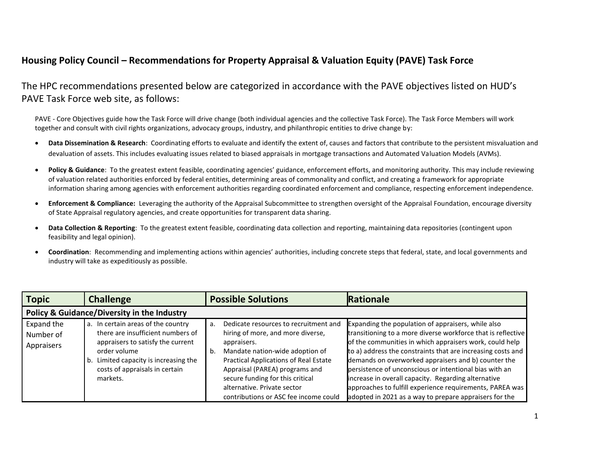## **Housing Policy Council – Recommendations for Property Appraisal & Valuation Equity (PAVE) Task Force**

The HPC recommendations presented below are categorized in accordance with the PAVE objectives listed on HUD's PAVE Task Force web site, as follows:

PAVE - Core Objectives guide how the Task Force will drive change (both individual agencies and the collective Task Force). The Task Force Members will work together and consult with civil rights organizations, advocacy groups, industry, and philanthropic entities to drive change by:

- **Data Dissemination & Research**: Coordinating efforts to evaluate and identify the extent of, causes and factors that contribute to the persistent misvaluation and devaluation of assets. This includes evaluating issues related to biased appraisals in mortgage transactions and Automated Valuation Models (AVMs).
- **Policy & Guidance**: To the greatest extent feasible, coordinating agencies' guidance, enforcement efforts, and monitoring authority. This may include reviewing of valuation related authorities enforced by federal entities, determining areas of commonality and conflict, and creating a framework for appropriate information sharing among agencies with enforcement authorities regarding coordinated enforcement and compliance, respecting enforcement independence.
- **Enforcement & Compliance:** Leveraging the authority of the Appraisal Subcommittee to strengthen oversight of the Appraisal Foundation, encourage diversity of State Appraisal regulatory agencies, and create opportunities for transparent data sharing.
- **Data Collection & Reporting**: To the greatest extent feasible, coordinating data collection and reporting, maintaining data repositories (contingent upon feasibility and legal opinion).
- **Coordination**: Recommending and implementing actions within agencies' authorities, including concrete steps that federal, state, and local governments and industry will take as expeditiously as possible.

| <b>Topic</b>                                | <b>Challenge</b>                                                                                                                                                      | <b>Possible Solutions</b>                                                                                                                                                         | <b>Rationale</b>                                                                                                                                                                                                                                                                                    |
|---------------------------------------------|-----------------------------------------------------------------------------------------------------------------------------------------------------------------------|-----------------------------------------------------------------------------------------------------------------------------------------------------------------------------------|-----------------------------------------------------------------------------------------------------------------------------------------------------------------------------------------------------------------------------------------------------------------------------------------------------|
| Policy & Guidance/Diversity in the Industry |                                                                                                                                                                       |                                                                                                                                                                                   |                                                                                                                                                                                                                                                                                                     |
| Expand the<br>Number of<br>Appraisers       | a. In certain areas of the country<br>there are insufficient numbers of<br>appraisers to satisfy the current<br>order volume<br>b. Limited capacity is increasing the | Dedicate resources to recruitment and<br>a.<br>hiring of more, and more diverse,<br>appraisers.<br>Mandate nation-wide adoption of<br>b.<br>Practical Applications of Real Estate | Expanding the population of appraisers, while also<br>transitioning to a more diverse workforce that is reflective<br>of the communities in which appraisers work, could help<br>to a) address the constraints that are increasing costs and<br>demands on overworked appraisers and b) counter the |
|                                             | costs of appraisals in certain<br>markets.                                                                                                                            | Appraisal (PAREA) programs and<br>secure funding for this critical<br>alternative. Private sector<br>contributions or ASC fee income could                                        | persistence of unconscious or intentional bias with an<br>increase in overall capacity. Regarding alternative<br>approaches to fulfill experience requirements, PAREA was<br>adopted in 2021 as a way to prepare appraisers for the                                                                 |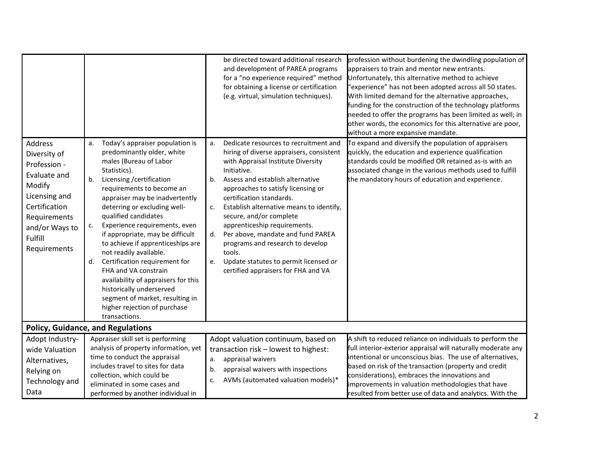|                                                                                                                                                                         |                                                                                                                                                                                                                                                                                                                                                                                                                                                                                                                                                                                                                                         | be directed toward additional research<br>and development of PAREA programs<br>for a "no experience required" method<br>for obtaining a license or certification<br>(e.g. virtual, simulation techniques).                                                                                                                                                                                                                                                                                                                                           | profession without burdening the dwindling population of<br>appraisers to train and mentor new entrants.<br>Unfortunately, this alternative method to achieve<br>'experience" has not been adopted across all 50 states.<br>With limited demand for the alternative approaches,<br>funding for the construction of the technology platforms<br>needed to offer the programs has been limited as well; in<br>other words, the economics for this alternative are poor,<br>without a more expansive mandate. |
|-------------------------------------------------------------------------------------------------------------------------------------------------------------------------|-----------------------------------------------------------------------------------------------------------------------------------------------------------------------------------------------------------------------------------------------------------------------------------------------------------------------------------------------------------------------------------------------------------------------------------------------------------------------------------------------------------------------------------------------------------------------------------------------------------------------------------------|------------------------------------------------------------------------------------------------------------------------------------------------------------------------------------------------------------------------------------------------------------------------------------------------------------------------------------------------------------------------------------------------------------------------------------------------------------------------------------------------------------------------------------------------------|------------------------------------------------------------------------------------------------------------------------------------------------------------------------------------------------------------------------------------------------------------------------------------------------------------------------------------------------------------------------------------------------------------------------------------------------------------------------------------------------------------|
| <b>Address</b><br>Diversity of<br>Profession -<br>Evaluate and<br>Modify<br>Licensing and<br>Certification<br>Requirements<br>and/or Ways to<br>Fulfill<br>Requirements | Today's appraiser population is<br>a.<br>predominantly older, white<br>males (Bureau of Labor<br>Statistics).<br>Licensing / certification<br>b.<br>requirements to become an<br>appraiser may be inadvertently<br>deterring or excluding well-<br>qualified candidates<br>Experience requirements, even<br>c.<br>if appropriate, may be difficult<br>to achieve if apprenticeships are<br>not readily available.<br>Certification requirement for<br>d.<br>FHA and VA constrain<br>availability of appraisers for this<br>historically underserved<br>segment of market, resulting in<br>higher rejection of purchase<br>transactions. | Dedicate resources to recruitment and<br>a.<br>hiring of diverse appraisers, consistent<br>with Appraisal Institute Diversity<br>Initiative.<br>Assess and establish alternative<br>b.<br>approaches to satisfy licensing or<br>certification standards.<br>Establish alternative means to identify,<br>c.<br>secure, and/or complete<br>apprenticeship requirements.<br>Per above, mandate and fund PAREA<br>d.<br>programs and research to develop<br>tools.<br>Update statutes to permit licensed or<br>e.<br>certified appraisers for FHA and VA | To expand and diversify the population of appraisers<br>quickly, the education and experience qualification<br>standards could be modified OR retained as-is with an<br>associated change in the various methods used to fulfill<br>the mandatory hours of education and experience.                                                                                                                                                                                                                       |
|                                                                                                                                                                         | <b>Policy, Guidance, and Regulations</b>                                                                                                                                                                                                                                                                                                                                                                                                                                                                                                                                                                                                |                                                                                                                                                                                                                                                                                                                                                                                                                                                                                                                                                      |                                                                                                                                                                                                                                                                                                                                                                                                                                                                                                            |
| Adopt Industry-<br>wide Valuation<br>Alternatives,<br>Relying on<br>Technology and<br>Data                                                                              | Appraiser skill set is performing<br>analysis of property information, yet<br>time to conduct the appraisal<br>includes travel to sites for data<br>collection, which could be<br>eliminated in some cases and<br>performed by another individual in                                                                                                                                                                                                                                                                                                                                                                                    | Adopt valuation continuum, based on<br>transaction risk - lowest to highest:<br>appraisal waivers<br>a.<br>appraisal waivers with inspections<br>b.<br>AVMs (automated valuation models)*<br>c.                                                                                                                                                                                                                                                                                                                                                      | A shift to reduced reliance on individuals to perform the<br>full interior-exterior appraisal will naturally moderate any<br>intentional or unconscious bias. The use of alternatives,<br>based on risk of the transaction (property and credit<br>considerations), embraces the innovations and<br>improvements in valuation methodologies that have<br>resulted from better use of data and analytics. With the                                                                                          |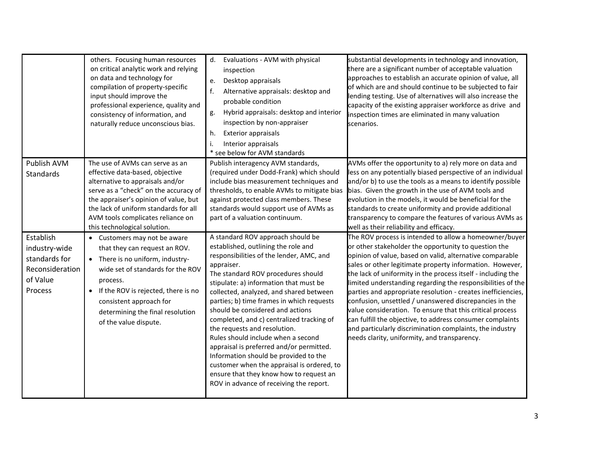|                                                                                       | others. Focusing human resources<br>on critical analytic work and relying<br>on data and technology for<br>compilation of property-specific<br>input should improve the<br>professional experience, quality and<br>consistency of information, and<br>naturally reduce unconscious bias.               | d.<br>Evaluations - AVM with physical<br>inspection<br>Desktop appraisals<br>e.<br>f.<br>Alternative appraisals: desktop and<br>probable condition<br>Hybrid appraisals: desktop and interior<br>g.<br>inspection by non-appraiser<br>h.<br><b>Exterior appraisals</b><br>Interior appraisals<br>i.<br>* see below for AVM standards                                                                                                                                                                                                                                                                                                                                                       | substantial developments in technology and innovation,<br>there are a significant number of acceptable valuation<br>approaches to establish an accurate opinion of value, all<br>of which are and should continue to be subjected to fair<br>lending testing. Use of alternatives will also increase the<br>capacity of the existing appraiser workforce as drive and<br>inspection times are eliminated in many valuation<br>scenarios.                                                                                                                                                                                                                                                                                              |
|---------------------------------------------------------------------------------------|--------------------------------------------------------------------------------------------------------------------------------------------------------------------------------------------------------------------------------------------------------------------------------------------------------|--------------------------------------------------------------------------------------------------------------------------------------------------------------------------------------------------------------------------------------------------------------------------------------------------------------------------------------------------------------------------------------------------------------------------------------------------------------------------------------------------------------------------------------------------------------------------------------------------------------------------------------------------------------------------------------------|---------------------------------------------------------------------------------------------------------------------------------------------------------------------------------------------------------------------------------------------------------------------------------------------------------------------------------------------------------------------------------------------------------------------------------------------------------------------------------------------------------------------------------------------------------------------------------------------------------------------------------------------------------------------------------------------------------------------------------------|
| Publish AVM<br>Standards                                                              | The use of AVMs can serve as an<br>effective data-based, objective<br>alternative to appraisals and/or<br>serve as a "check" on the accuracy of<br>the appraiser's opinion of value, but<br>the lack of uniform standards for all<br>AVM tools complicates reliance on<br>this technological solution. | Publish interagency AVM standards,<br>(required under Dodd-Frank) which should<br>include bias measurement techniques and<br>thresholds, to enable AVMs to mitigate bias<br>against protected class members. These<br>standards would support use of AVMs as<br>part of a valuation continuum.                                                                                                                                                                                                                                                                                                                                                                                             | AVMs offer the opportunity to a) rely more on data and<br>less on any potentially biased perspective of an individual<br>and/or b) to use the tools as a means to identify possible<br>bias. Given the growth in the use of AVM tools and<br>evolution in the models, it would be beneficial for the<br>standards to create uniformity and provide additional<br>transparency to compare the features of various AVMs as<br>well as their reliability and efficacy.                                                                                                                                                                                                                                                                   |
| Establish<br>industry-wide<br>standards for<br>Reconsideration<br>of Value<br>Process | • Customers may not be aware<br>that they can request an ROV.<br>• There is no uniform, industry-<br>wide set of standards for the ROV<br>process.<br>• If the ROV is rejected, there is no<br>consistent approach for<br>determining the final resolution<br>of the value dispute.                    | A standard ROV approach should be<br>established, outlining the role and<br>responsibilities of the lender, AMC, and<br>appraiser.<br>The standard ROV procedures should<br>stipulate: a) information that must be<br>collected, analyzed, and shared between<br>parties; b) time frames in which requests<br>should be considered and actions<br>completed, and c) centralized tracking of<br>the requests and resolution.<br>Rules should include when a second<br>appraisal is preferred and/or permitted.<br>Information should be provided to the<br>customer when the appraisal is ordered, to<br>ensure that they know how to request an<br>ROV in advance of receiving the report. | The ROV process is intended to allow a homeowner/buyer<br>or other stakeholder the opportunity to question the<br>opinion of value, based on valid, alternative comparable<br>sales or other legitimate property information. However,<br>the lack of uniformity in the process itself - including the<br>limited understanding regarding the responsibilities of the<br>parties and appropriate resolution - creates inefficiencies,<br>confusion, unsettled / unanswered discrepancies in the<br>value consideration. To ensure that this critical process<br>can fulfill the objective, to address consumer complaints<br>and particularly discrimination complaints, the industry<br>needs clarity, uniformity, and transparency. |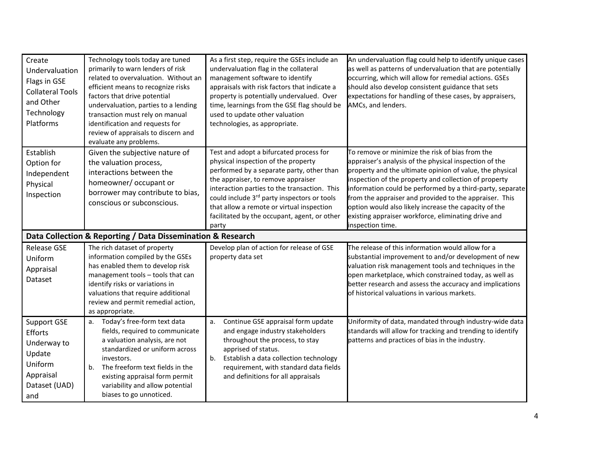| Create<br>Undervaluation<br>Flags in GSE<br><b>Collateral Tools</b><br>and Other<br>Technology<br>Platforms | Technology tools today are tuned<br>primarily to warn lenders of risk<br>related to overvaluation. Without an<br>efficient means to recognize risks<br>factors that drive potential<br>undervaluation, parties to a lending<br>transaction must rely on manual<br>identification and requests for<br>review of appraisals to discern and<br>evaluate any problems. | As a first step, require the GSEs include an<br>undervaluation flag in the collateral<br>management software to identify<br>appraisals with risk factors that indicate a<br>property is potentially undervalued. Over<br>time, learnings from the GSE flag should be<br>used to update other valuation<br>technologies, as appropriate.                                            | An undervaluation flag could help to identify unique cases<br>as well as patterns of undervaluation that are potentially<br>occurring, which will allow for remedial actions. GSEs<br>should also develop consistent guidance that sets<br>expectations for handling of these cases, by appraisers,<br>AMCs, and lenders.                                                                                                                                                                 |
|-------------------------------------------------------------------------------------------------------------|--------------------------------------------------------------------------------------------------------------------------------------------------------------------------------------------------------------------------------------------------------------------------------------------------------------------------------------------------------------------|------------------------------------------------------------------------------------------------------------------------------------------------------------------------------------------------------------------------------------------------------------------------------------------------------------------------------------------------------------------------------------|-------------------------------------------------------------------------------------------------------------------------------------------------------------------------------------------------------------------------------------------------------------------------------------------------------------------------------------------------------------------------------------------------------------------------------------------------------------------------------------------|
| Establish<br>Option for<br>Independent<br>Physical<br>Inspection                                            | Given the subjective nature of<br>the valuation process,<br>interactions between the<br>homeowner/ occupant or<br>borrower may contribute to bias,<br>conscious or subconscious.                                                                                                                                                                                   | Test and adopt a bifurcated process for<br>physical inspection of the property<br>performed by a separate party, other than<br>the appraiser, to remove appraiser<br>interaction parties to the transaction. This<br>could include 3 <sup>rd</sup> party inspectors or tools<br>that allow a remote or virtual inspection<br>facilitated by the occupant, agent, or other<br>party | To remove or minimize the risk of bias from the<br>appraiser's analysis of the physical inspection of the<br>property and the ultimate opinion of value, the physical<br>inspection of the property and collection of property<br>information could be performed by a third-party, separate<br>from the appraiser and provided to the appraiser. This<br>option would also likely increase the capacity of the<br>existing appraiser workforce, eliminating drive and<br>inspection time. |
| Data Collection & Reporting / Data Dissemination & Research                                                 |                                                                                                                                                                                                                                                                                                                                                                    |                                                                                                                                                                                                                                                                                                                                                                                    |                                                                                                                                                                                                                                                                                                                                                                                                                                                                                           |
| <b>Release GSE</b><br>Uniform<br>Appraisal<br>Dataset                                                       | The rich dataset of property<br>information compiled by the GSEs<br>has enabled them to develop risk<br>management tools - tools that can<br>identify risks or variations in<br>valuations that require additional<br>review and permit remedial action,<br>as appropriate.                                                                                        | Develop plan of action for release of GSE<br>property data set                                                                                                                                                                                                                                                                                                                     | The release of this information would allow for a<br>substantial improvement to and/or development of new<br>valuation risk management tools and techniques in the<br>open marketplace, which constrained today, as well as<br>better research and assess the accuracy and implications<br>of historical valuations in various markets.                                                                                                                                                   |
| <b>Support GSE</b><br>Efforts<br>Underway to<br>Update<br>Uniform<br>Appraisal<br>Dataset (UAD)<br>and      | Today's free-form text data<br>a.<br>fields, required to communicate<br>a valuation analysis, are not<br>standardized or uniform across<br>investors.<br>The freeform text fields in the<br>b.<br>existing appraisal form permit<br>variability and allow potential<br>biases to go unnoticed.                                                                     | Continue GSE appraisal form update<br>a.<br>and engage industry stakeholders<br>throughout the process, to stay<br>apprised of status.<br>Establish a data collection technology<br>b.<br>requirement, with standard data fields<br>and definitions for all appraisals                                                                                                             | Jniformity of data, mandated through industry-wide data<br>standards will allow for tracking and trending to identify<br>patterns and practices of bias in the industry.                                                                                                                                                                                                                                                                                                                  |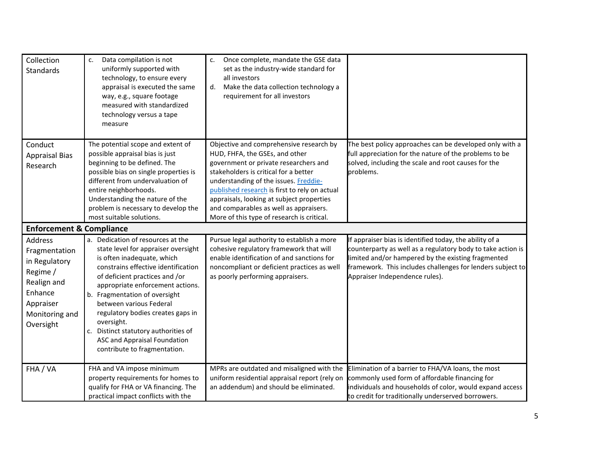| Collection<br><b>Standards</b>                                                                                              | Data compilation is not<br>c.<br>uniformly supported with<br>technology, to ensure every<br>appraisal is executed the same<br>way, e.g., square footage<br>measured with standardized<br>technology versus a tape<br>measure                                                                                                                                                                                                               | Once complete, mandate the GSE data<br>c.<br>set as the industry-wide standard for<br>all investors<br>Make the data collection technology a<br>d.<br>requirement for all investors                                                                                                                                                                                                        |                                                                                                                                                                                                                                                                              |
|-----------------------------------------------------------------------------------------------------------------------------|--------------------------------------------------------------------------------------------------------------------------------------------------------------------------------------------------------------------------------------------------------------------------------------------------------------------------------------------------------------------------------------------------------------------------------------------|--------------------------------------------------------------------------------------------------------------------------------------------------------------------------------------------------------------------------------------------------------------------------------------------------------------------------------------------------------------------------------------------|------------------------------------------------------------------------------------------------------------------------------------------------------------------------------------------------------------------------------------------------------------------------------|
| Conduct<br><b>Appraisal Bias</b><br>Research                                                                                | The potential scope and extent of<br>possible appraisal bias is just<br>beginning to be defined. The<br>possible bias on single properties is<br>different from undervaluation of<br>entire neighborhoods.<br>Understanding the nature of the<br>problem is necessary to develop the<br>most suitable solutions.                                                                                                                           | Objective and comprehensive research by<br>HUD, FHFA, the GSEs, and other<br>government or private researchers and<br>stakeholders is critical for a better<br>understanding of the issues. Freddie-<br>published research is first to rely on actual<br>appraisals, looking at subject properties<br>and comparables as well as appraisers.<br>More of this type of research is critical. | The best policy approaches can be developed only with a<br>full appreciation for the nature of the problems to be<br>solved, including the scale and root causes for the<br>problems.                                                                                        |
| <b>Enforcement &amp; Compliance</b>                                                                                         |                                                                                                                                                                                                                                                                                                                                                                                                                                            |                                                                                                                                                                                                                                                                                                                                                                                            |                                                                                                                                                                                                                                                                              |
| Address<br>Fragmentation<br>in Regulatory<br>Regime /<br>Realign and<br>Enhance<br>Appraiser<br>Monitoring and<br>Oversight | a. Dedication of resources at the<br>state level for appraiser oversight<br>is often inadequate, which<br>constrains effective identification<br>of deficient practices and /or<br>appropriate enforcement actions.<br>b. Fragmentation of oversight<br>between various Federal<br>regulatory bodies creates gaps in<br>oversight.<br>c. Distinct statutory authorities of<br>ASC and Appraisal Foundation<br>contribute to fragmentation. | Pursue legal authority to establish a more<br>cohesive regulatory framework that will<br>enable identification of and sanctions for<br>noncompliant or deficient practices as well<br>as poorly performing appraisers.                                                                                                                                                                     | If appraiser bias is identified today, the ability of a<br>counterparty as well as a regulatory body to take action is<br>limited and/or hampered by the existing fragmented<br>framework. This includes challenges for lenders subject to<br>Appraiser Independence rules). |
| FHA / VA                                                                                                                    | FHA and VA impose minimum<br>property requirements for homes to<br>qualify for FHA or VA financing. The<br>practical impact conflicts with the                                                                                                                                                                                                                                                                                             | MPRs are outdated and misaligned with the<br>uniform residential appraisal report (rely on<br>an addendum) and should be eliminated.                                                                                                                                                                                                                                                       | Elimination of a barrier to FHA/VA loans, the most<br>commonly used form of affordable financing for<br>individuals and households of color, would expand access<br>to credit for traditionally underserved borrowers.                                                       |